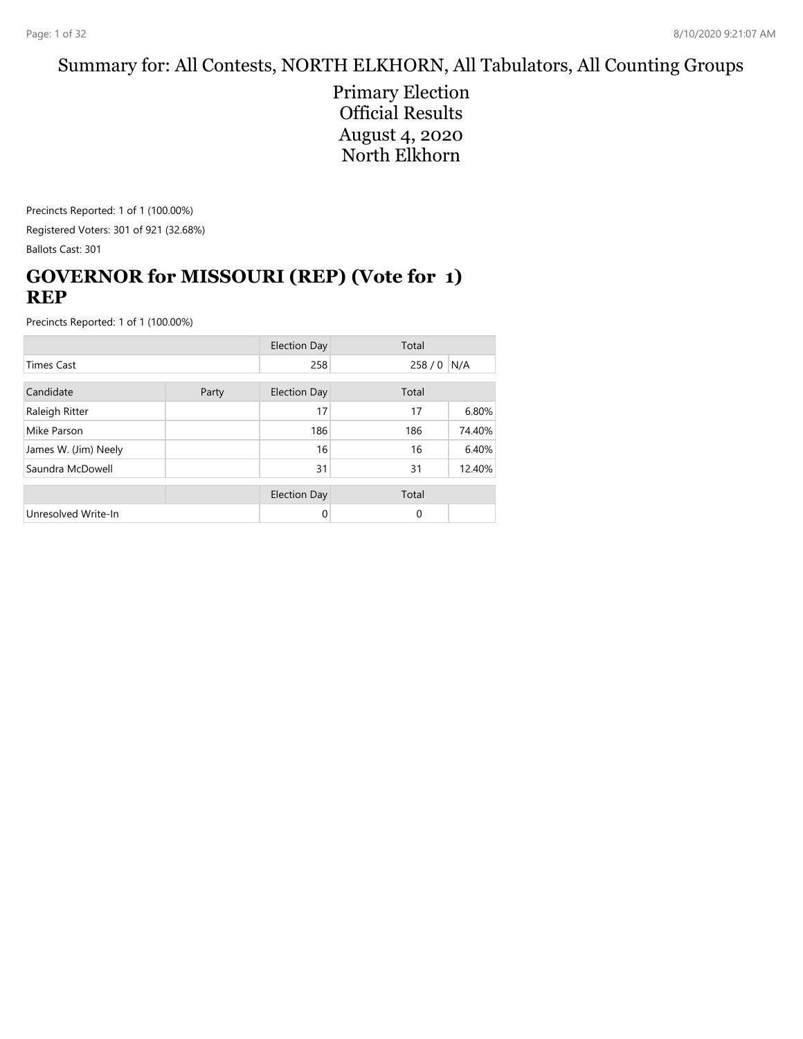## Summary for: All Contests, NORTH ELKHORN, All Tabulators, All Counting Groups

Primary Election Official Results August 4, 2020 North Elkhorn

Precincts Reported: 1 of 1 (100.00%) Registered Voters: 301 of 921 (32.68%) Ballots Cast: 301

## **GOVERNOR for MISSOURI (REP) (Vote for 1) REP**

|                      |  | <b>Election Day</b> | Total    |        |
|----------------------|--|---------------------|----------|--------|
| <b>Times Cast</b>    |  | 258                 | 258/0    | N/A    |
| Candidate<br>Party   |  | <b>Election Day</b> | Total    |        |
| Raleigh Ritter       |  | 17                  | 17       | 6.80%  |
| Mike Parson          |  | 186                 | 186      | 74.40% |
| James W. (Jim) Neely |  | 16                  | 16       | 6.40%  |
| Saundra McDowell     |  | 31                  | 31       | 12.40% |
|                      |  | <b>Election Day</b> | Total    |        |
| Unresolved Write-In  |  | 0                   | $\Omega$ |        |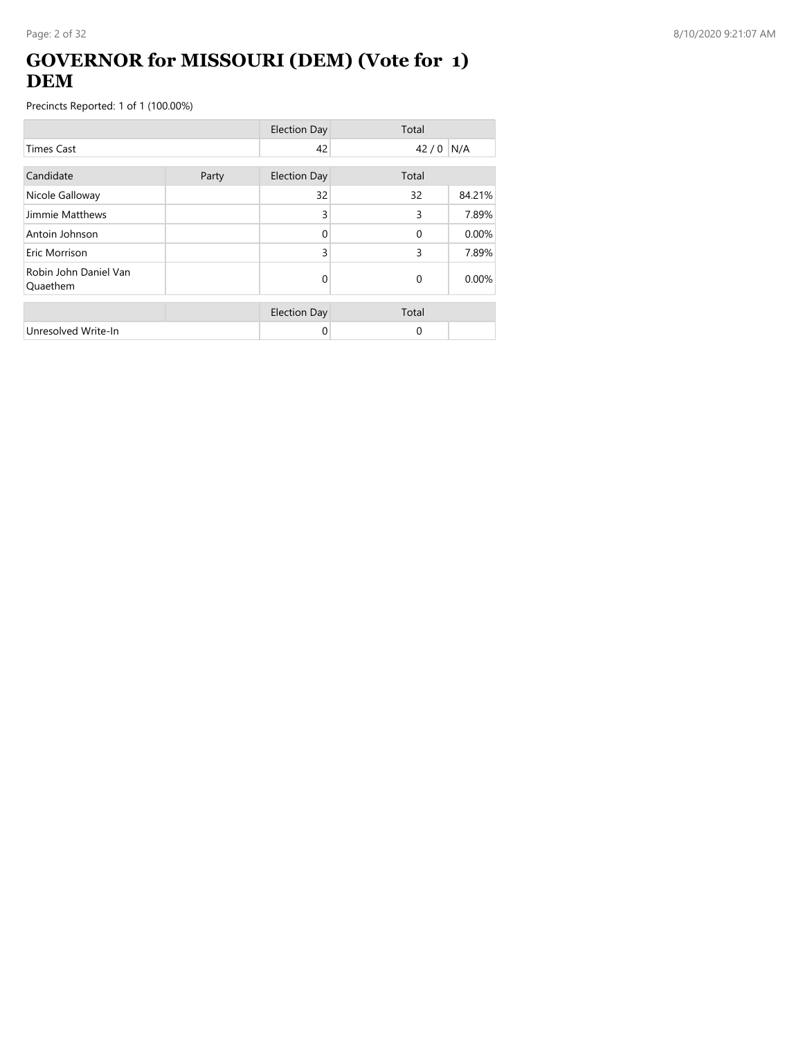### **GOVERNOR for MISSOURI (DEM) (Vote for 1) DEM**

|                                   |       | <b>Election Day</b> | Total      |        |
|-----------------------------------|-------|---------------------|------------|--------|
| <b>Times Cast</b>                 |       | 42                  | $42/0$ N/A |        |
| Candidate                         | Party | <b>Election Day</b> | Total      |        |
| Nicole Galloway                   |       | 32                  | 32         | 84.21% |
| Jimmie Matthews                   |       | 3                   | 3          | 7.89%  |
| Antoin Johnson                    |       | $\Omega$            | $\Omega$   | 0.00%  |
| Eric Morrison                     |       | 3                   | 3          | 7.89%  |
| Robin John Daniel Van<br>Quaethem |       | 0                   | $\Omega$   | 0.00%  |
|                                   |       | <b>Election Day</b> | Total      |        |
| Unresolved Write-In               |       | 0                   | $\Omega$   |        |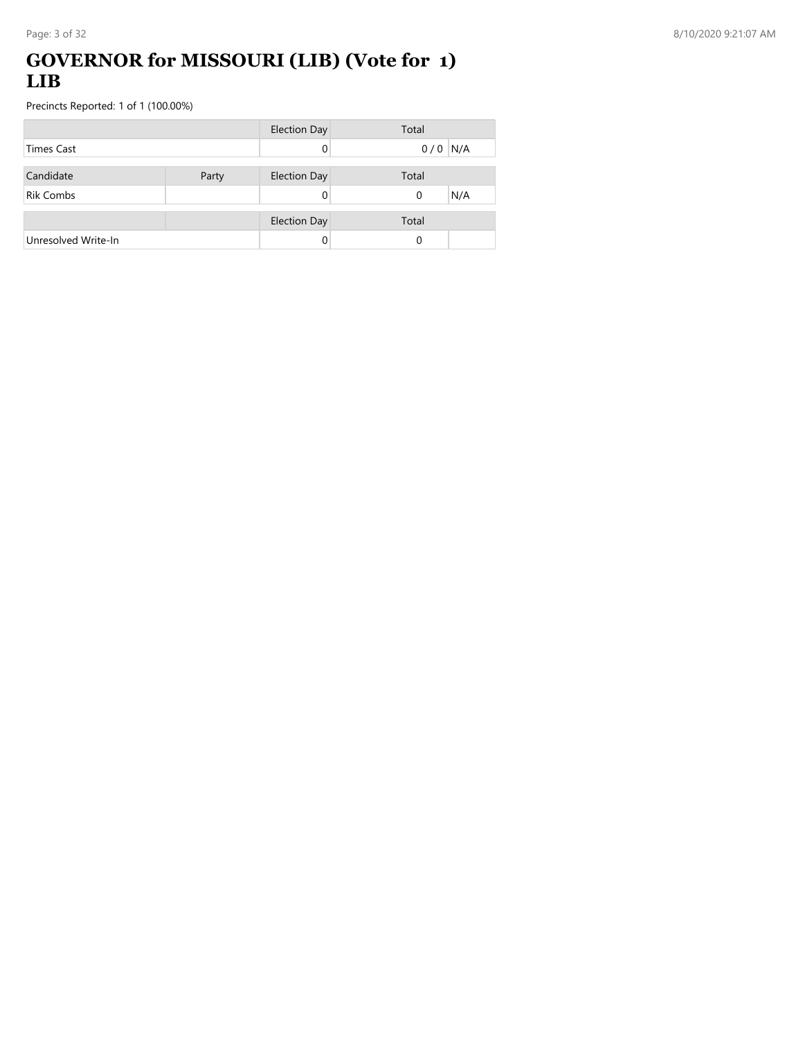## **GOVERNOR for MISSOURI (LIB) (Vote for 1) LIB**

|                     |       | <b>Election Day</b> | Total |           |
|---------------------|-------|---------------------|-------|-----------|
| Times Cast          |       | 0                   |       | $0/0$ N/A |
|                     |       |                     |       |           |
| Candidate           | Party | <b>Election Day</b> | Total |           |
| <b>Rik Combs</b>    |       | 0                   | 0     | N/A       |
|                     |       |                     |       |           |
|                     |       | <b>Election Day</b> | Total |           |
| Unresolved Write-In |       |                     | 0     |           |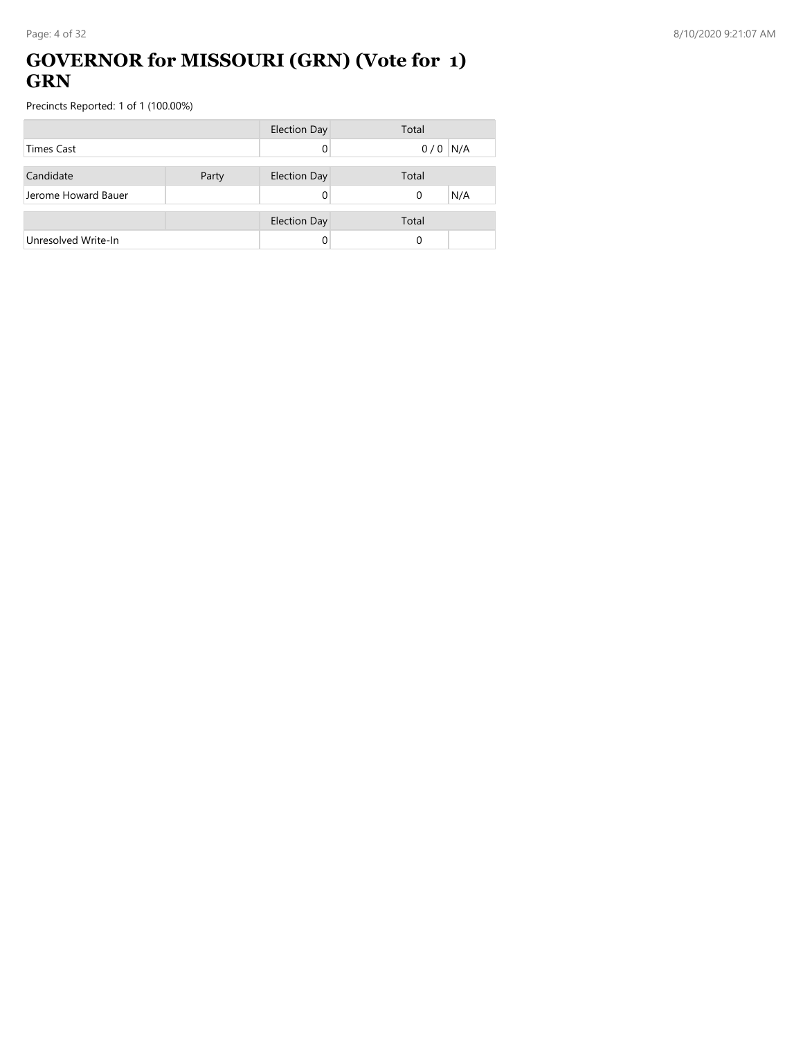### **GOVERNOR for MISSOURI (GRN) (Vote for 1) GRN**

|                     |       | <b>Election Day</b> | Total           |
|---------------------|-------|---------------------|-----------------|
| <b>Times Cast</b>   |       |                     | N/A<br>0/0      |
|                     |       |                     |                 |
| Candidate           | Party | <b>Election Day</b> | Total           |
| Jerome Howard Bauer |       |                     | N/A<br>$\Omega$ |
|                     |       |                     |                 |
|                     |       | <b>Election Day</b> | Total           |
| Unresolved Write-In |       |                     | 0               |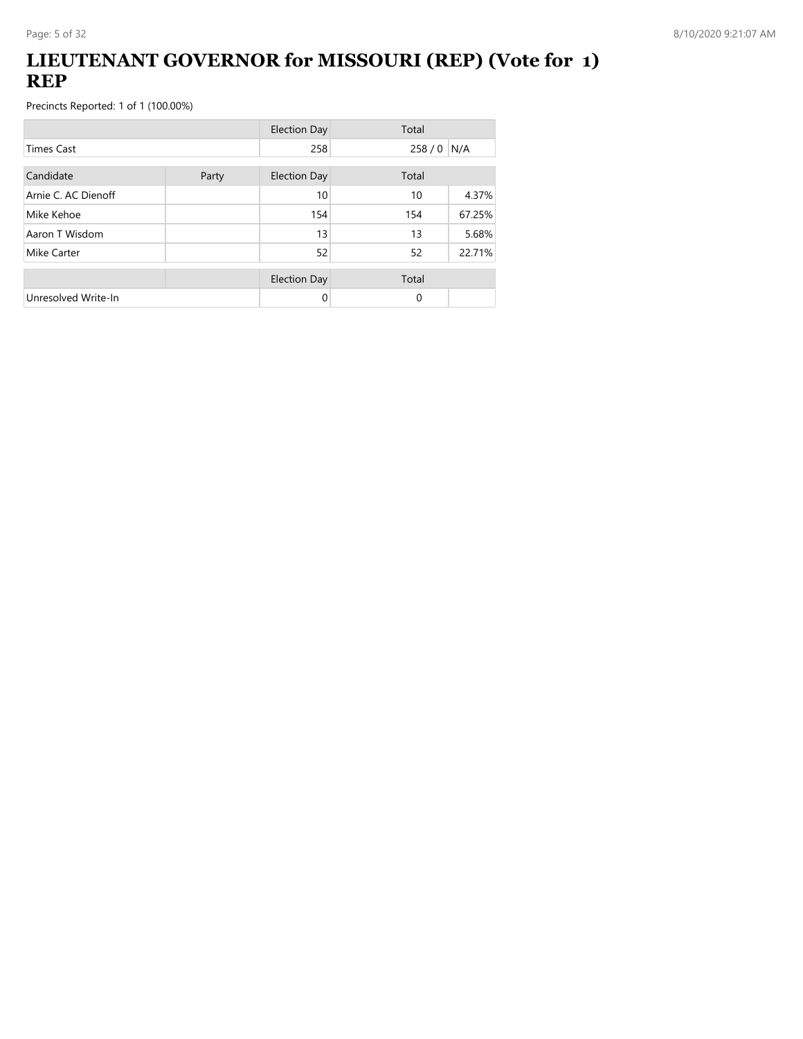### **LIEUTENANT GOVERNOR for MISSOURI (REP) (Vote for 1) REP**

|                     |       | <b>Election Day</b> | Total       |        |
|---------------------|-------|---------------------|-------------|--------|
| <b>Times Cast</b>   |       | 258                 | 258 / 0 N/A |        |
| Candidate           | Party | <b>Election Day</b> | Total       |        |
| Arnie C. AC Dienoff |       | 10                  | 10          | 4.37%  |
| Mike Kehoe          |       | 154                 | 154         | 67.25% |
| Aaron T Wisdom      |       | 13                  | 13          | 5.68%  |
| Mike Carter         |       | 52                  | 52          | 22.71% |
|                     |       | <b>Election Day</b> | Total       |        |
| Unresolved Write-In |       | 0                   | $\Omega$    |        |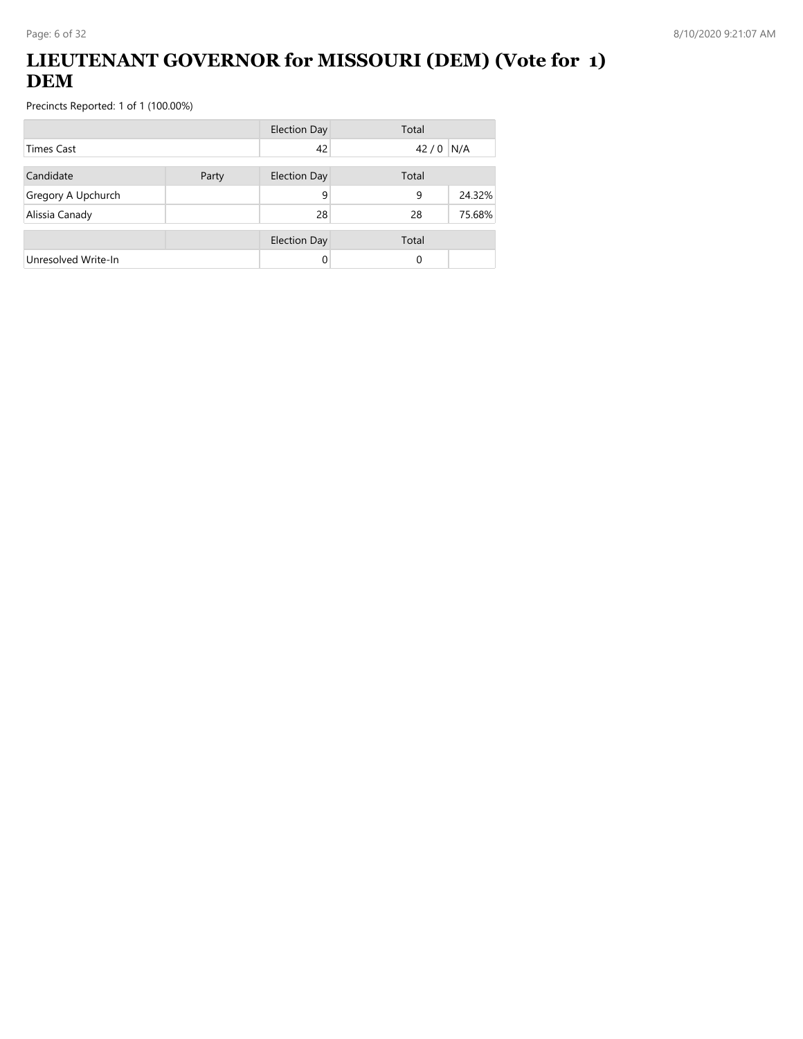## **LIEUTENANT GOVERNOR for MISSOURI (DEM) (Vote for 1) DEM**

|                     |       | <b>Election Day</b> | Total |        |
|---------------------|-------|---------------------|-------|--------|
| <b>Times Cast</b>   |       | 42                  | 42/0  | N/A    |
| Candidate           | Party | Election Day        | Total |        |
| Gregory A Upchurch  |       | 9                   | 9     | 24.32% |
| Alissia Canady      |       | 28                  | 28    | 75.68% |
|                     |       | <b>Election Day</b> | Total |        |
| Unresolved Write-In |       | 0                   | 0     |        |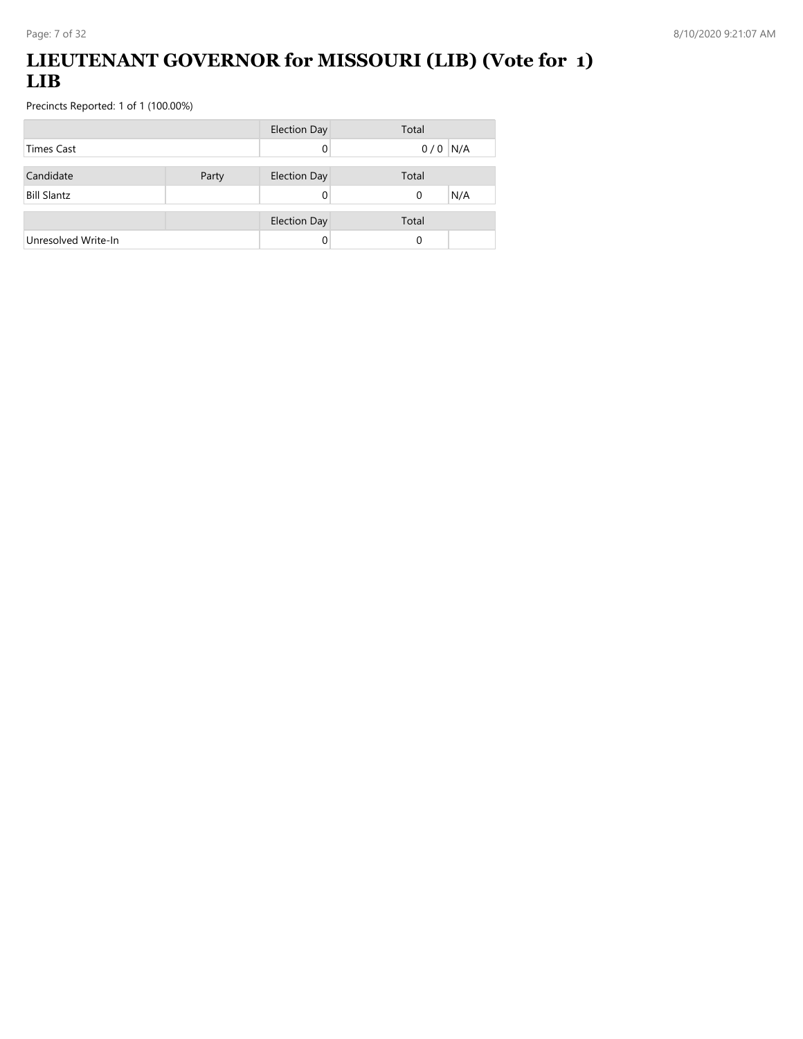## **LIEUTENANT GOVERNOR for MISSOURI (LIB) (Vote for 1) LIB**

|                     |       | <b>Election Day</b> | Total     |
|---------------------|-------|---------------------|-----------|
| <b>Times Cast</b>   |       |                     | $0/0$ N/A |
| Candidate           |       |                     | Total     |
|                     | Party | <b>Election Day</b> |           |
| <b>Bill Slantz</b>  |       |                     | N/A<br>0  |
|                     |       | <b>Election Day</b> | Total     |
| Unresolved Write-In |       |                     | 0         |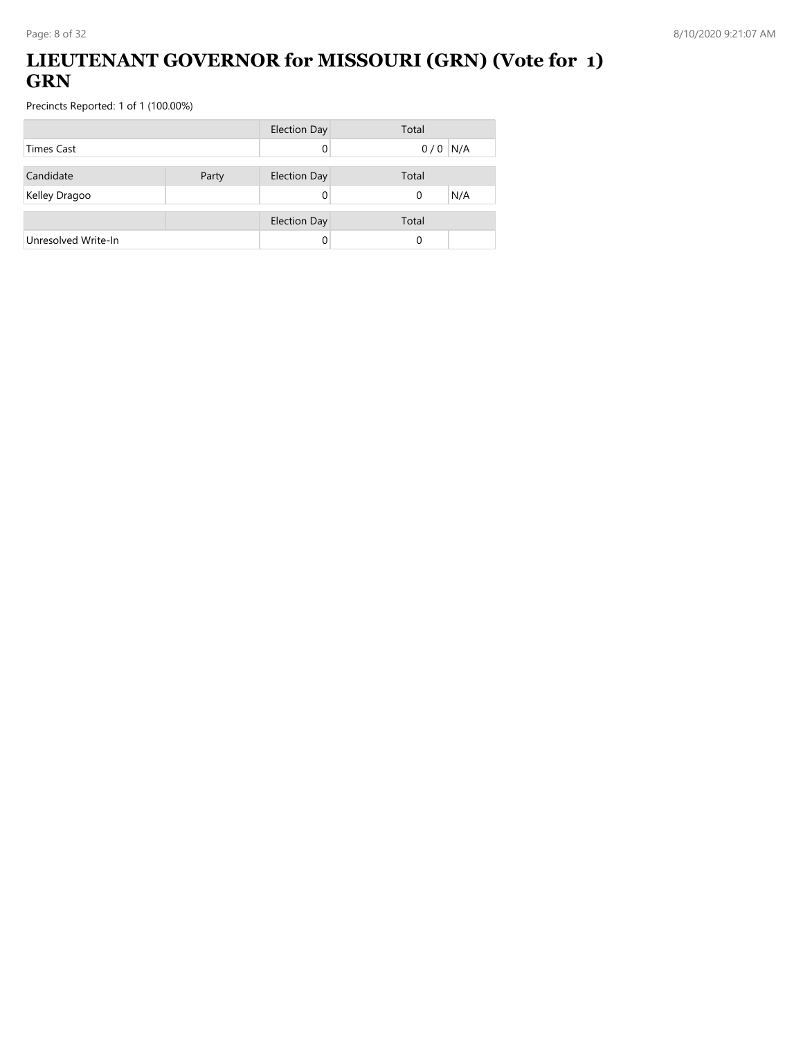## **LIEUTENANT GOVERNOR for MISSOURI (GRN) (Vote for 1) GRN**

|                     |       | <b>Election Day</b> | Total           |
|---------------------|-------|---------------------|-----------------|
| <b>Times Cast</b>   |       |                     | $0/0$ N/A       |
| Candidate           | Party | <b>Election Day</b> | Total           |
| Kelley Dragoo       |       |                     | N/A<br>$\Omega$ |
|                     |       |                     |                 |
|                     |       | <b>Election Day</b> | Total           |
| Unresolved Write-In |       |                     | 0               |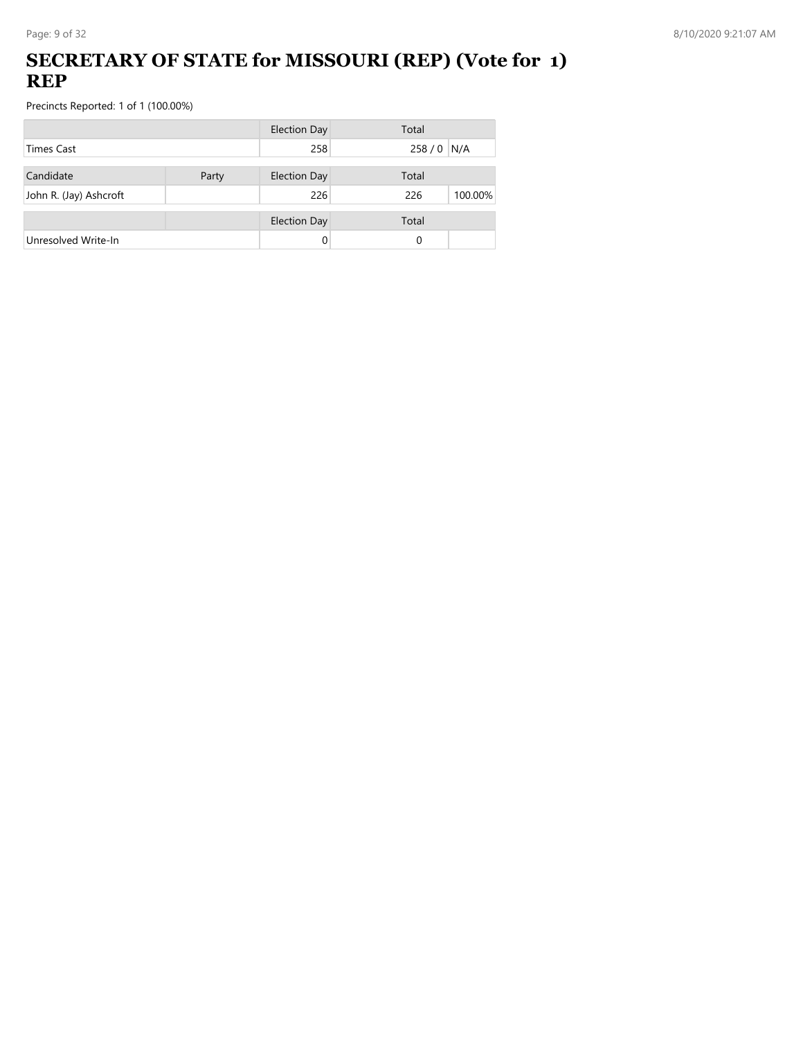## **SECRETARY OF STATE for MISSOURI (REP) (Vote for 1) REP**

|                        |       | <b>Election Day</b> | Total          |
|------------------------|-------|---------------------|----------------|
| <b>Times Cast</b>      |       | 258                 | 258 / 0 N/A    |
| Candidate              | Party | <b>Election Day</b> | Total          |
| John R. (Jay) Ashcroft |       | 226                 | 226<br>100.00% |
|                        |       | <b>Election Day</b> | Total          |
| Unresolved Write-In    |       | 0                   | 0              |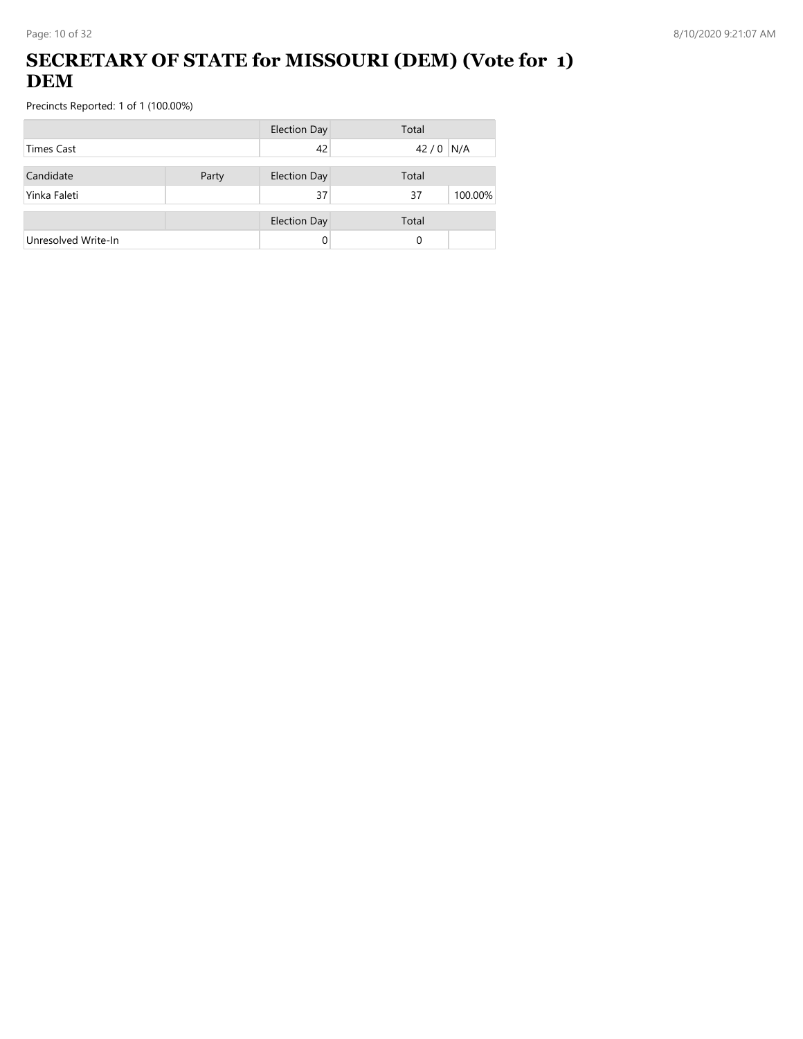## **SECRETARY OF STATE for MISSOURI (DEM) (Vote for 1) DEM**

|                     |       | <b>Election Day</b> | Total         |
|---------------------|-------|---------------------|---------------|
| Times Cast          |       | 42                  | N/A<br>42/0   |
| Candidate           | Party | <b>Election Day</b> | Total         |
| Yinka Faleti        |       | 37                  | 100.00%<br>37 |
|                     |       | <b>Election Day</b> | Total         |
| Unresolved Write-In |       | 0                   | 0             |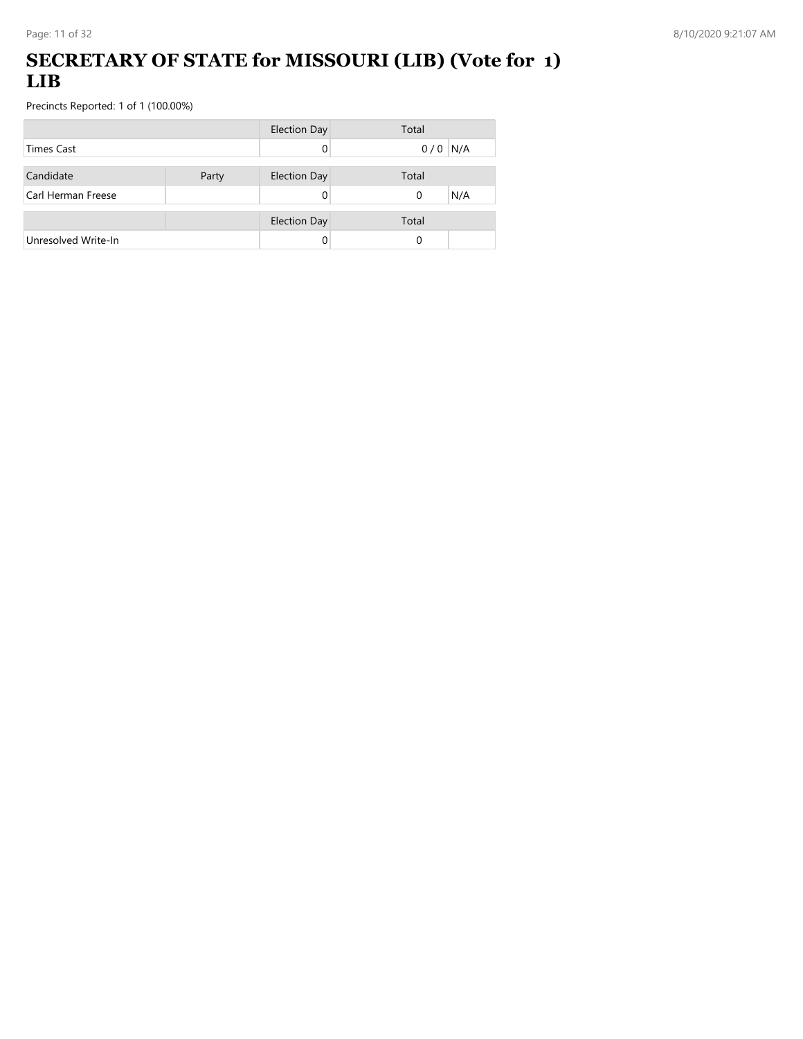## **SECRETARY OF STATE for MISSOURI (LIB) (Vote for 1) LIB**

|                     |       | <b>Election Day</b> | Total           |
|---------------------|-------|---------------------|-----------------|
| Times Cast          |       |                     | $0/0$ N/A       |
|                     |       |                     |                 |
| Candidate           | Party | <b>Election Day</b> | Total           |
| Carl Herman Freese  |       |                     | N/A<br>$\Omega$ |
|                     |       | <b>Election Day</b> | Total           |
|                     |       |                     |                 |
| Unresolved Write-In |       |                     | 0               |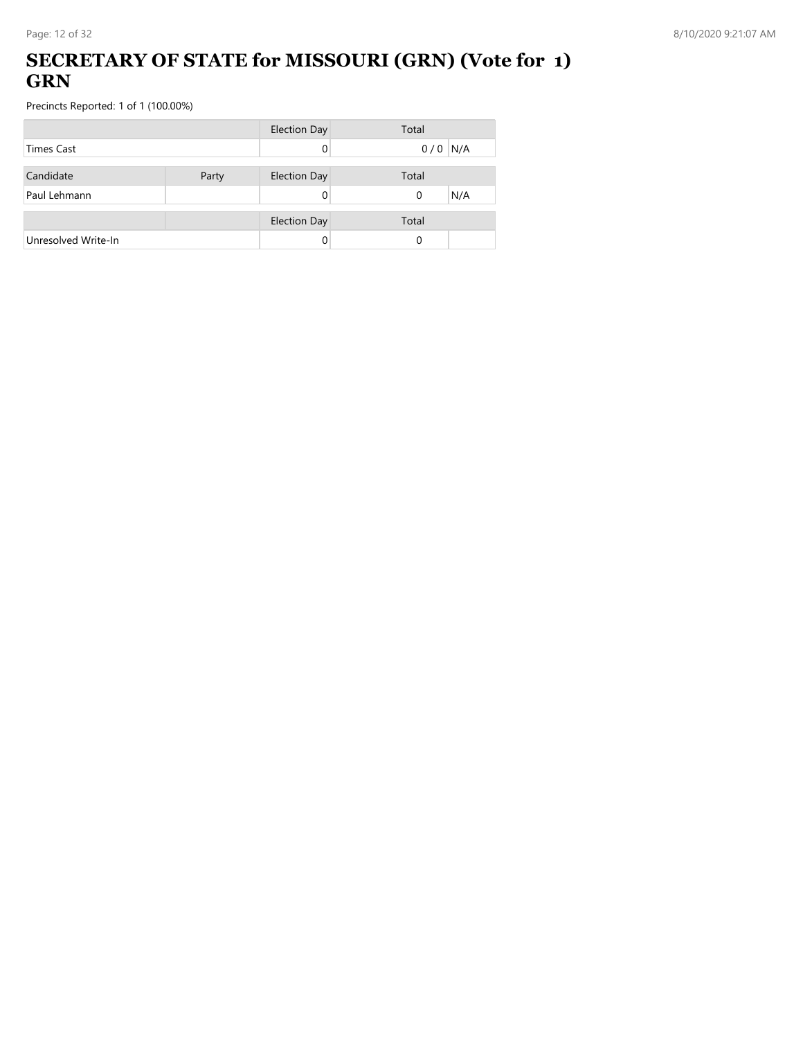## **SECRETARY OF STATE for MISSOURI (GRN) (Vote for 1) GRN**

|                     |       | <b>Election Day</b> | Total           |
|---------------------|-------|---------------------|-----------------|
| <b>Times Cast</b>   |       |                     | $0/0$ N/A       |
| Candidate           | Party | <b>Election Day</b> | Total           |
| Paul Lehmann        |       |                     | N/A<br>$\Omega$ |
|                     |       | <b>Election Day</b> | Total           |
| Unresolved Write-In |       |                     | 0               |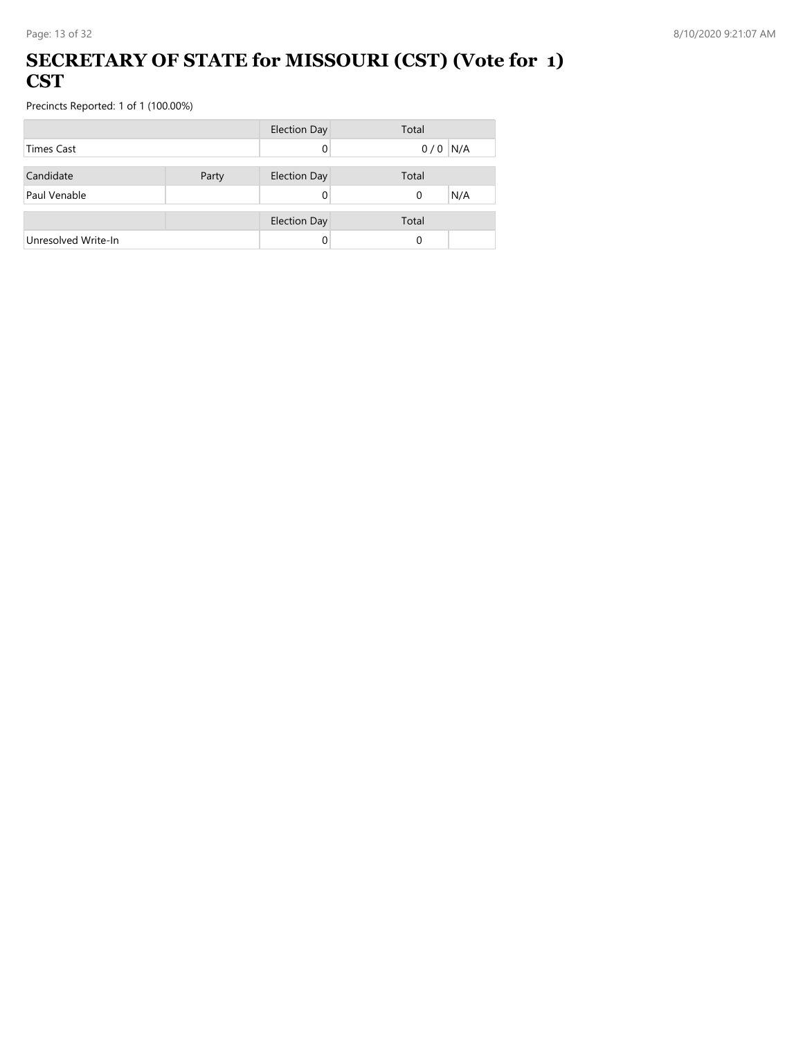#### **SECRETARY OF STATE for MISSOURI (CST) (Vote for 1) CST**

|                     |       | <b>Election Day</b> | Total     |
|---------------------|-------|---------------------|-----------|
| <b>Times Cast</b>   |       |                     | $0/0$ N/A |
|                     |       |                     |           |
| Candidate           | Party | <b>Election Day</b> | Total     |
| Paul Venable        |       |                     | N/A<br>0  |
|                     |       |                     |           |
|                     |       | <b>Election Day</b> | Total     |
| Unresolved Write-In |       |                     | $\Omega$  |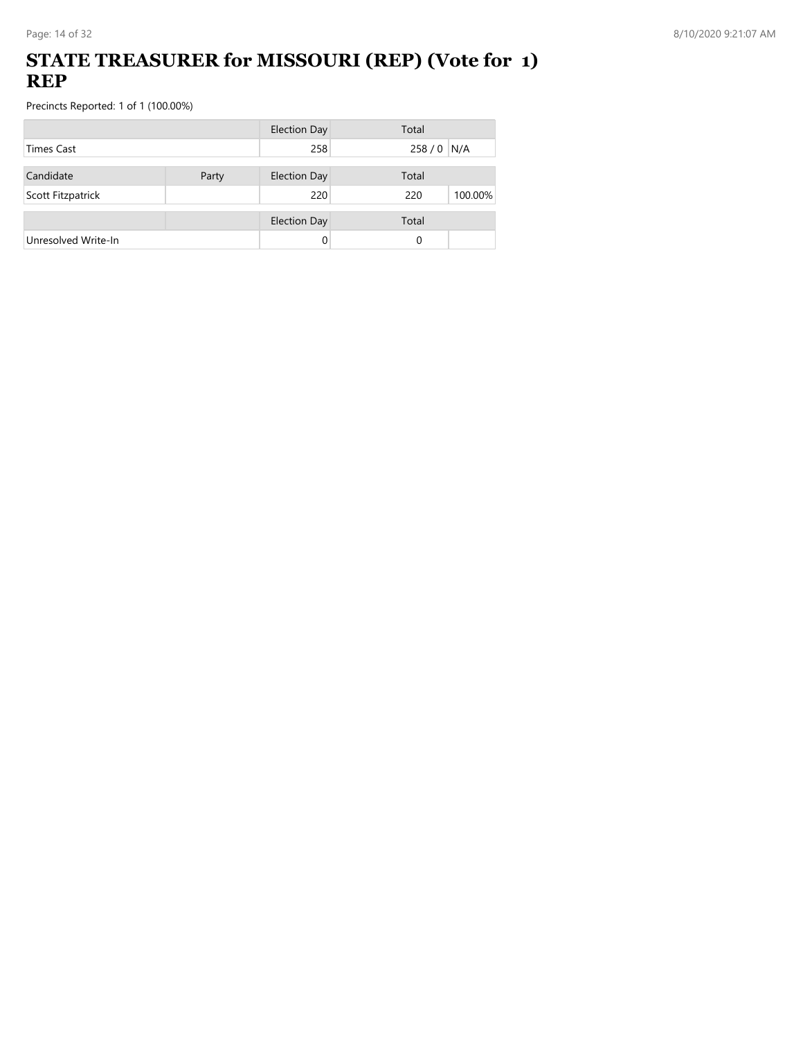### **STATE TREASURER for MISSOURI (REP) (Vote for 1) REP**

|                     |       | <b>Election Day</b> | Total          |
|---------------------|-------|---------------------|----------------|
| <b>Times Cast</b>   |       | 258                 | 258 / 0 N/A    |
| Candidate           | Party | <b>Election Day</b> | Total          |
|                     |       | 220                 | 100.00%<br>220 |
| Scott Fitzpatrick   |       |                     |                |
|                     |       | <b>Election Day</b> | Total          |
| Unresolved Write-In |       | 0                   | 0              |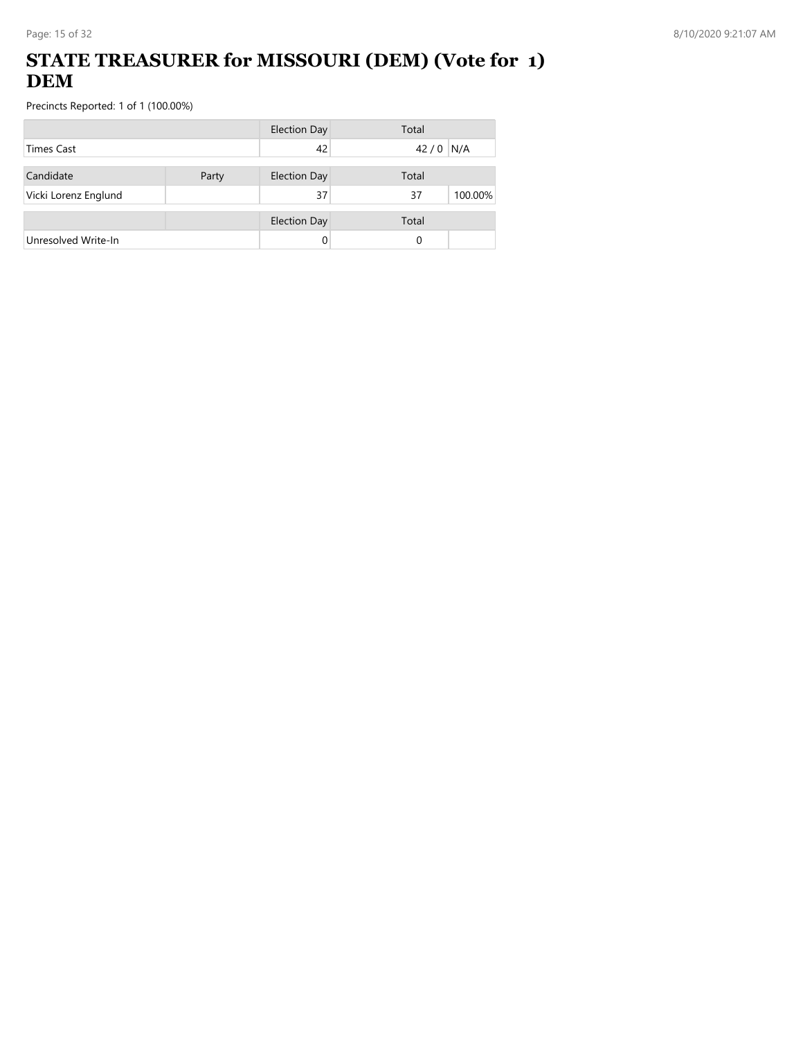## **STATE TREASURER for MISSOURI (DEM) (Vote for 1) DEM**

|                      |       | <b>Election Day</b> | Total         |
|----------------------|-------|---------------------|---------------|
| <b>Times Cast</b>    |       | 42                  | N/A<br>42/0   |
| Candidate            | Party | <b>Election Day</b> | Total         |
| Vicki Lorenz Englund |       | 37                  | 37<br>100.00% |
|                      |       | <b>Election Day</b> | Total         |
| Unresolved Write-In  |       |                     | 0             |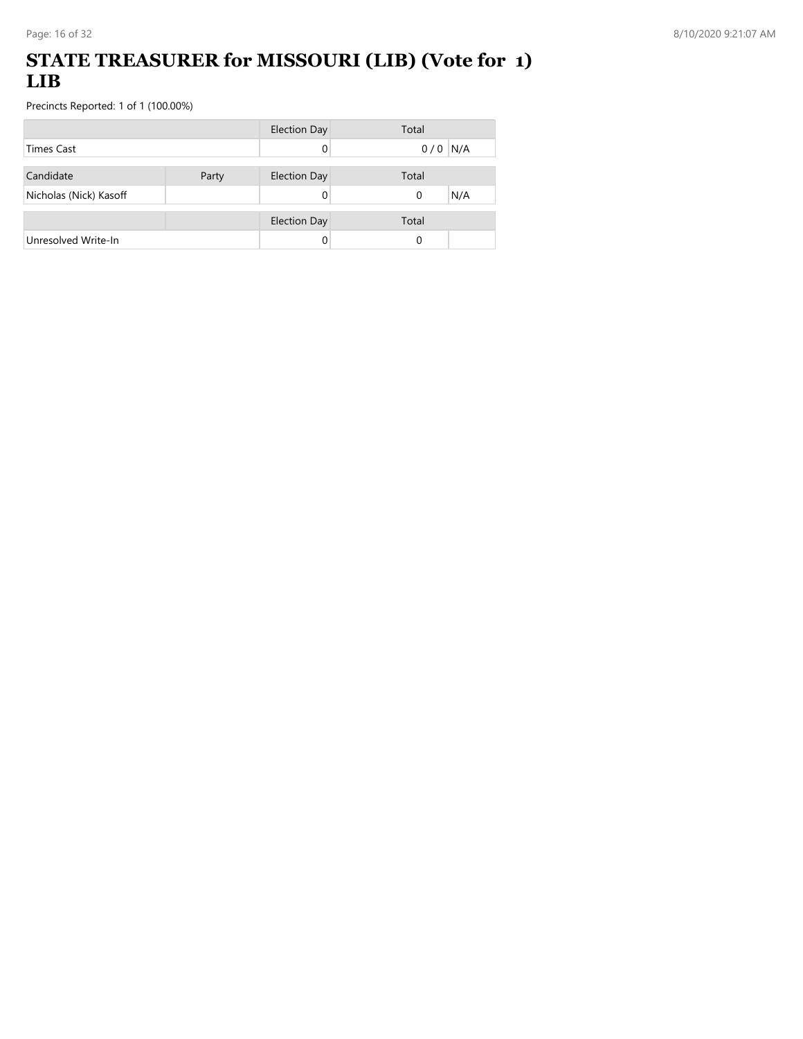### **STATE TREASURER for MISSOURI (LIB) (Vote for 1) LIB**

|                        |       | Election Day        | Total     |
|------------------------|-------|---------------------|-----------|
| <b>Times Cast</b>      |       |                     | $0/0$ N/A |
| Candidate              | Party | <b>Election Day</b> | Total     |
| Nicholas (Nick) Kasoff |       |                     | N/A<br>0  |
|                        |       | <b>Election Day</b> | Total     |
| Unresolved Write-In    |       |                     | 0         |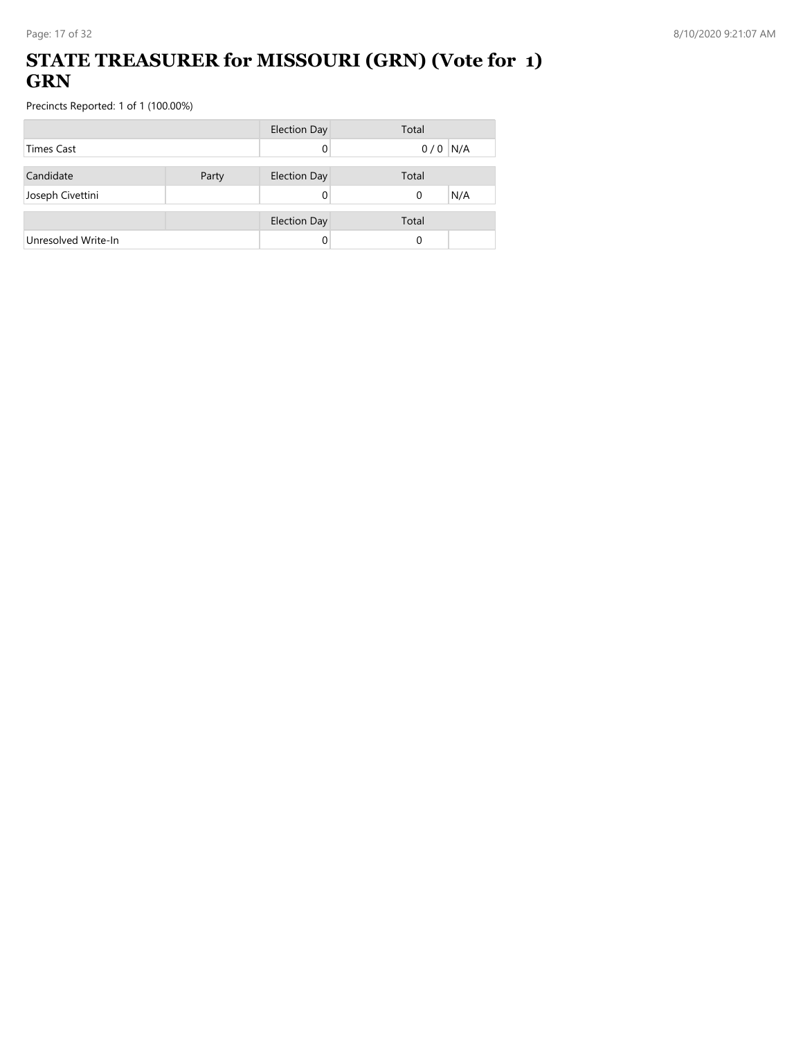### **STATE TREASURER for MISSOURI (GRN) (Vote for 1) GRN**

|                     |       | <b>Election Day</b> | Total     |
|---------------------|-------|---------------------|-----------|
| <b>Times Cast</b>   |       |                     | $0/0$ N/A |
| Candidate           | Party | <b>Election Day</b> | Total     |
| Joseph Civettini    |       |                     | N/A<br>0  |
|                     |       | <b>Election Day</b> | Total     |
| Unresolved Write-In |       |                     | 0         |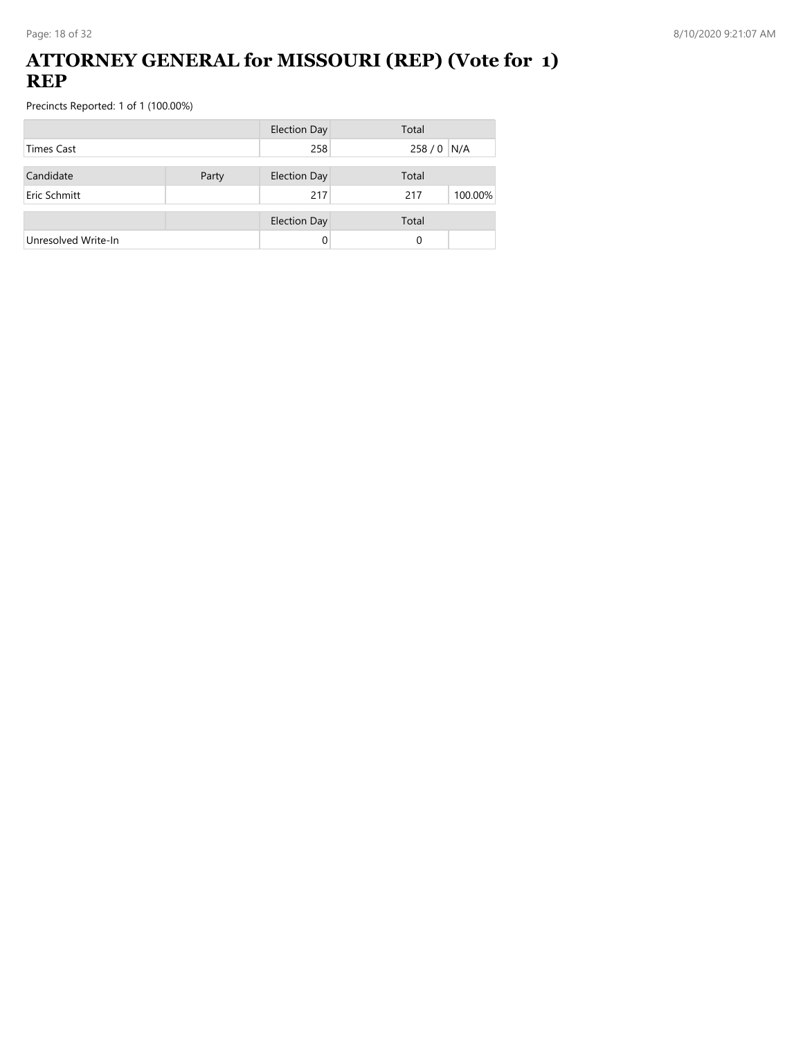#### **ATTORNEY GENERAL for MISSOURI (REP) (Vote for 1) REP**

|                     |       | <b>Election Day</b> | Total          |
|---------------------|-------|---------------------|----------------|
| <b>Times Cast</b>   |       | 258                 | 258 / 0 N/A    |
| Candidate           | Party | <b>Election Day</b> | Total          |
| Eric Schmitt        |       | 217                 | 100.00%<br>217 |
|                     |       | <b>Election Day</b> | Total          |
| Unresolved Write-In |       |                     | 0              |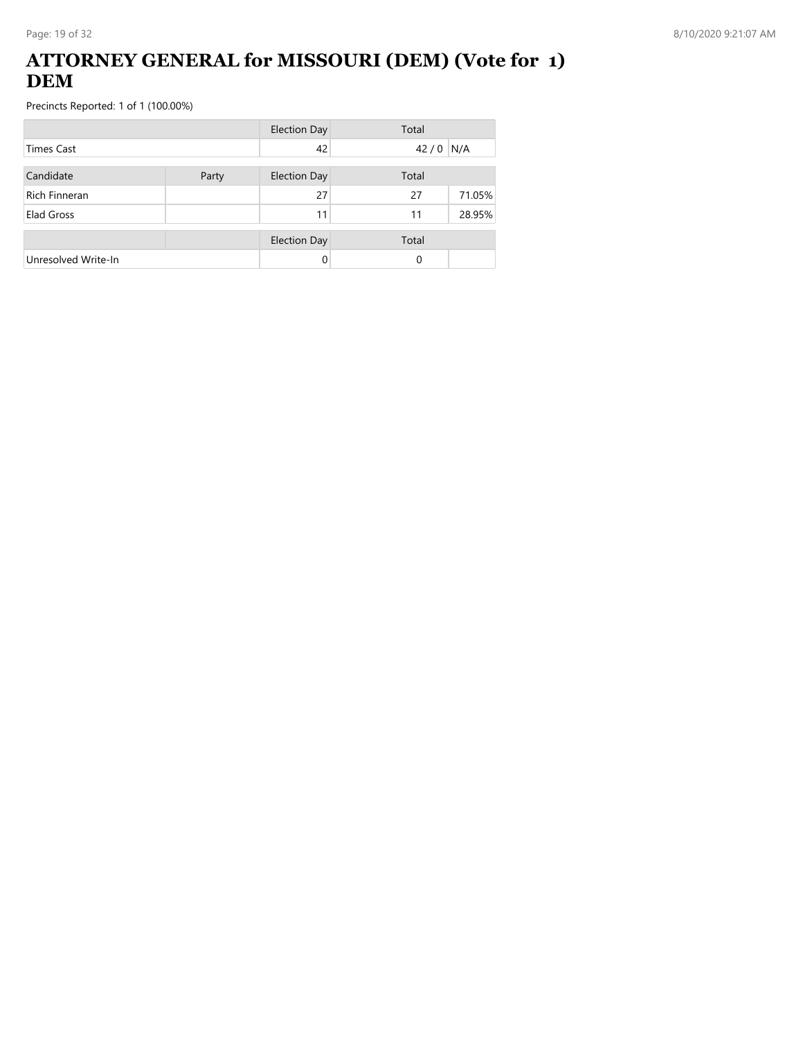### **ATTORNEY GENERAL for MISSOURI (DEM) (Vote for 1) DEM**

|                      |       | <b>Election Day</b> | Total |        |
|----------------------|-------|---------------------|-------|--------|
| <b>Times Cast</b>    |       | 42                  | 42/0  | N/A    |
| Candidate            | Party | <b>Election Day</b> | Total |        |
| <b>Rich Finneran</b> |       | 27                  | 27    | 71.05% |
| Elad Gross           |       | 11                  | 11    | 28.95% |
|                      |       | <b>Election Day</b> | Total |        |
| Unresolved Write-In  |       | 0                   | 0     |        |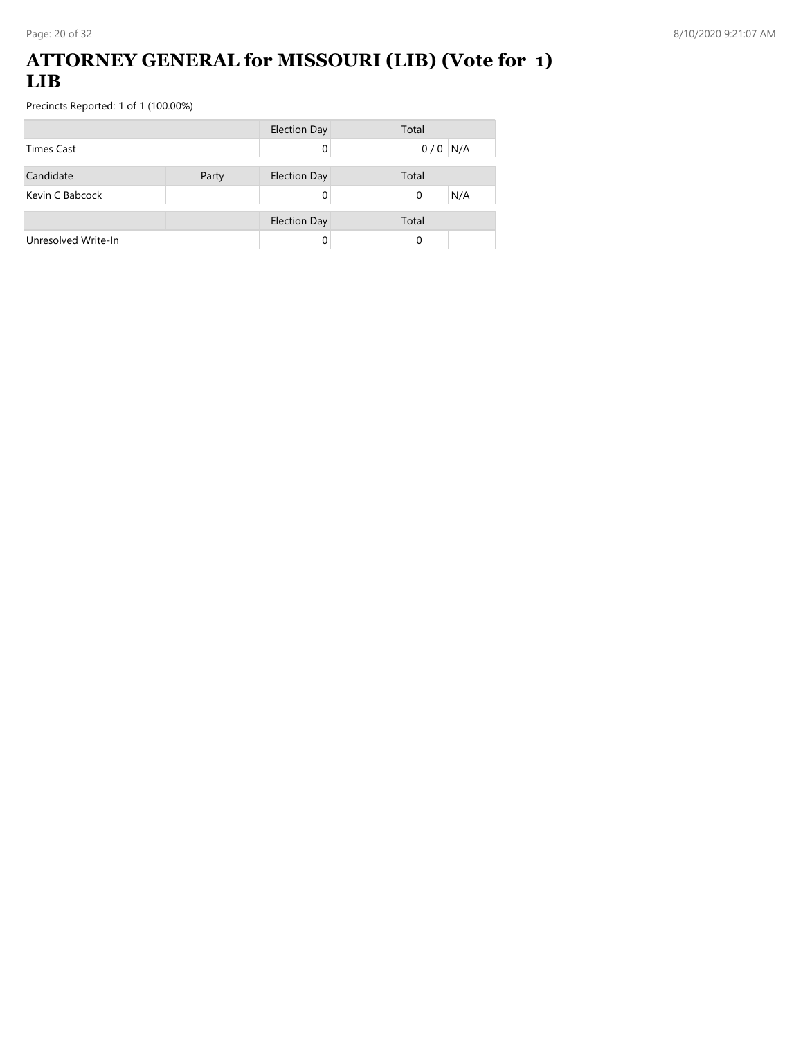#### **ATTORNEY GENERAL for MISSOURI (LIB) (Vote for 1) LIB**

|                     |       | <b>Election Day</b> | Total           |
|---------------------|-------|---------------------|-----------------|
| <b>Times Cast</b>   |       |                     | $0/0$ N/A       |
| Candidate           | Party | <b>Election Day</b> | Total           |
|                     |       |                     |                 |
| Kevin C Babcock     |       |                     | N/A<br>$\Omega$ |
|                     |       | <b>Election Day</b> | Total           |
| Unresolved Write-In |       |                     | 0               |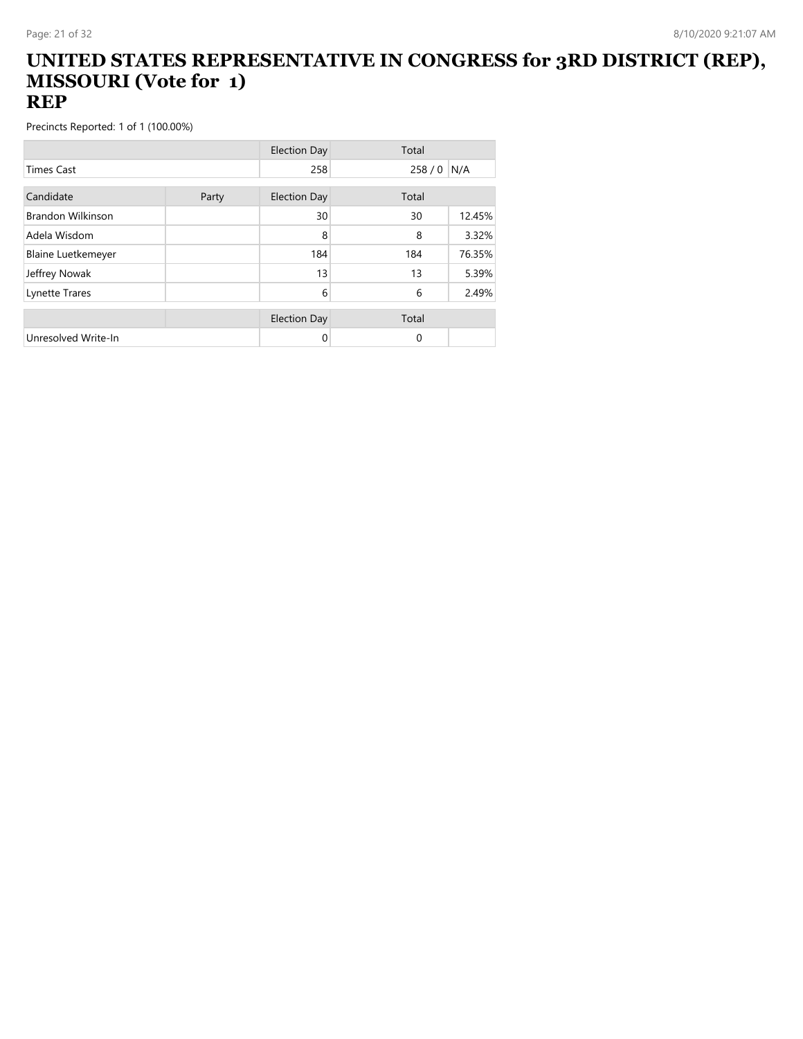#### **UNITED STATES REPRESENTATIVE IN CONGRESS for 3RD DISTRICT (REP), MISSOURI (Vote for 1) REP**

|                           |       | <b>Election Day</b> | Total    |        |
|---------------------------|-------|---------------------|----------|--------|
| <b>Times Cast</b>         |       | 258                 | 258/0    | N/A    |
| Candidate                 |       |                     |          |        |
|                           | Party | <b>Election Day</b> | Total    |        |
| <b>Brandon Wilkinson</b>  |       | 30                  | 30       | 12.45% |
| Adela Wisdom              |       | 8                   | 8        | 3.32%  |
| <b>Blaine Luetkemeyer</b> |       | 184                 | 184      | 76.35% |
| Jeffrey Nowak             |       | 13                  | 13       | 5.39%  |
| Lynette Trares            |       | 6                   | 6        | 2.49%  |
|                           |       |                     |          |        |
|                           |       | <b>Election Day</b> | Total    |        |
| Unresolved Write-In       |       | 0                   | $\Omega$ |        |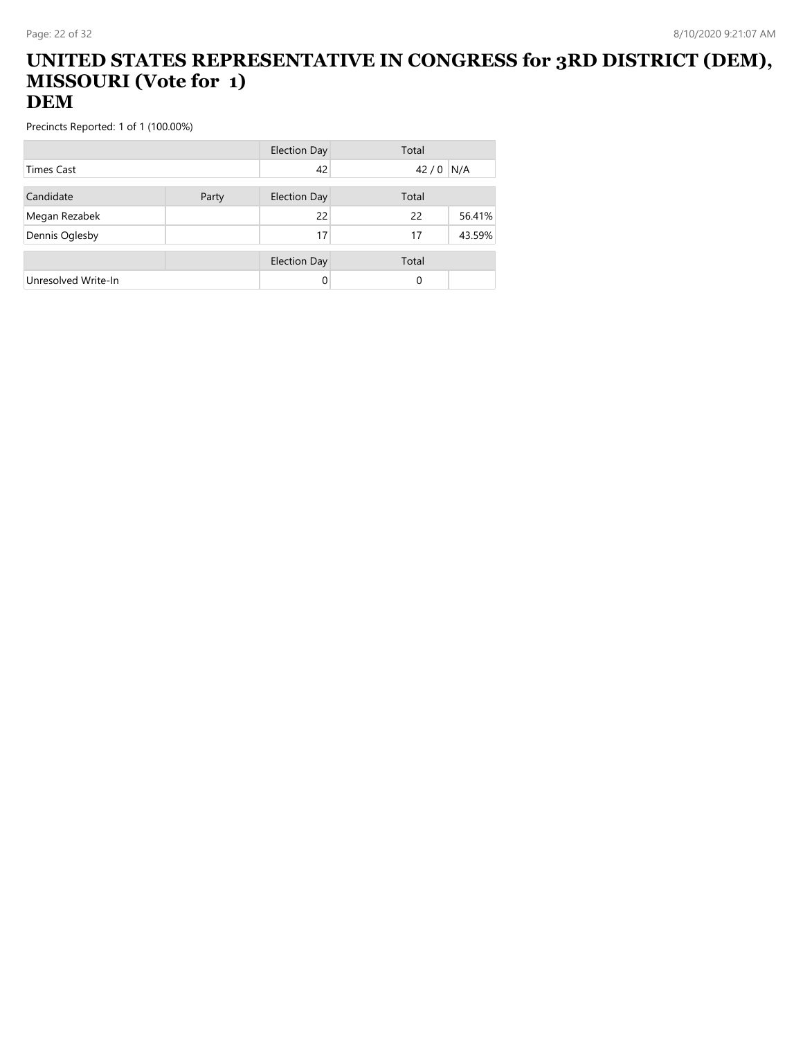#### **UNITED STATES REPRESENTATIVE IN CONGRESS for 3RD DISTRICT (DEM), MISSOURI (Vote for 1) DEM**

|                     |       | Election Day        | Total    |        |
|---------------------|-------|---------------------|----------|--------|
| <b>Times Cast</b>   |       | 42                  | 42/0     | N/A    |
| Candidate           | Party | <b>Election Day</b> | Total    |        |
| Megan Rezabek       |       | 22                  | 22       | 56.41% |
| Dennis Oglesby      |       | 17                  | 17       | 43.59% |
|                     |       | <b>Election Day</b> | Total    |        |
| Unresolved Write-In |       | 0                   | $\Omega$ |        |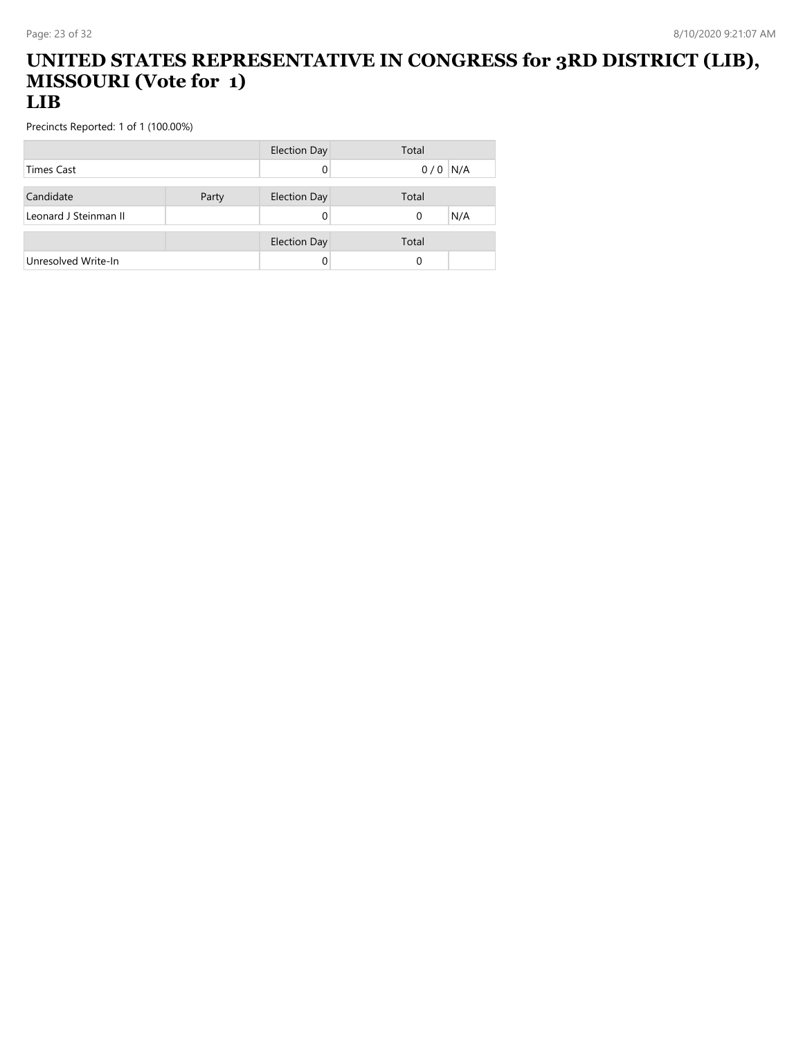#### **UNITED STATES REPRESENTATIVE IN CONGRESS for 3RD DISTRICT (LIB), MISSOURI (Vote for 1) LIB**

|                       |       | <b>Election Day</b> | Total      |
|-----------------------|-------|---------------------|------------|
| <b>Times Cast</b>     |       |                     | N/A<br>0/0 |
|                       |       |                     |            |
| Candidate             | Party | <b>Election Day</b> | Total      |
| Leonard J Steinman II |       |                     | N/A<br>0   |
|                       |       |                     |            |
|                       |       | <b>Election Day</b> | Total      |
| Unresolved Write-In   |       |                     |            |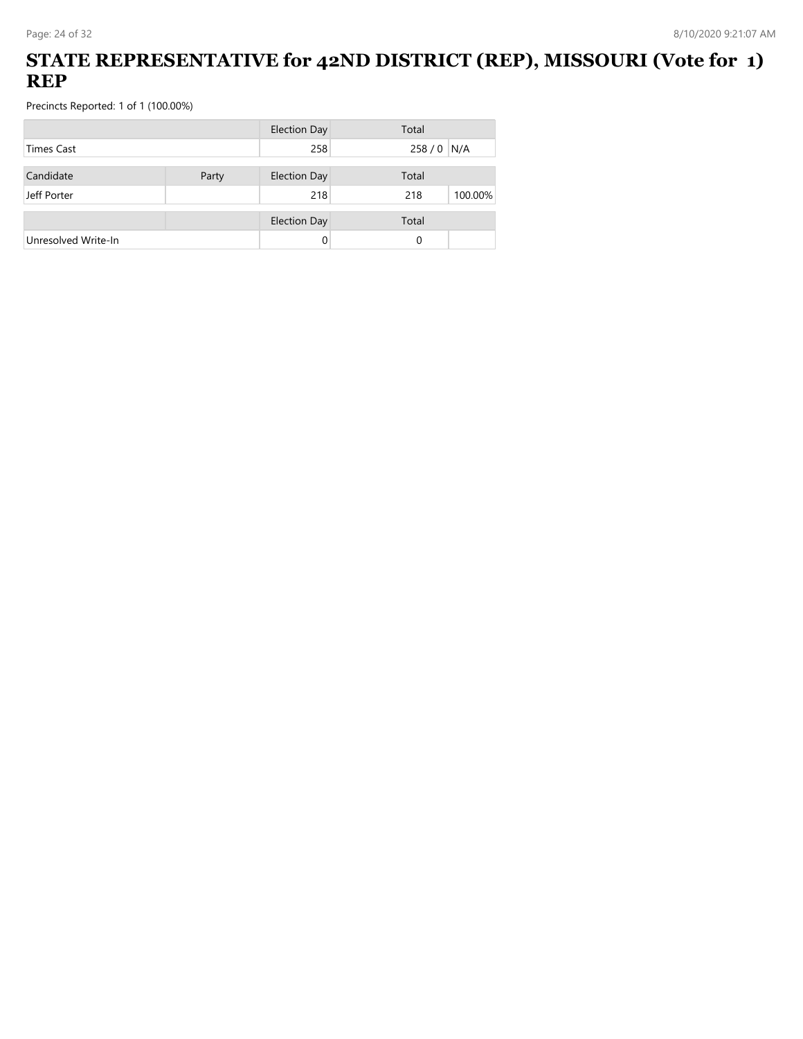### **STATE REPRESENTATIVE for 42ND DISTRICT (REP), MISSOURI (Vote for 1) REP**

|                     |       | <b>Election Day</b> | Total |         |
|---------------------|-------|---------------------|-------|---------|
| <b>Times Cast</b>   |       | 258                 | 258/0 | N/A     |
|                     |       |                     |       |         |
| Candidate           | Party | <b>Election Day</b> | Total |         |
| Jeff Porter         |       | 218                 | 218   | 100.00% |
|                     |       | <b>Election Day</b> | Total |         |
| Unresolved Write-In |       | 0                   | 0     |         |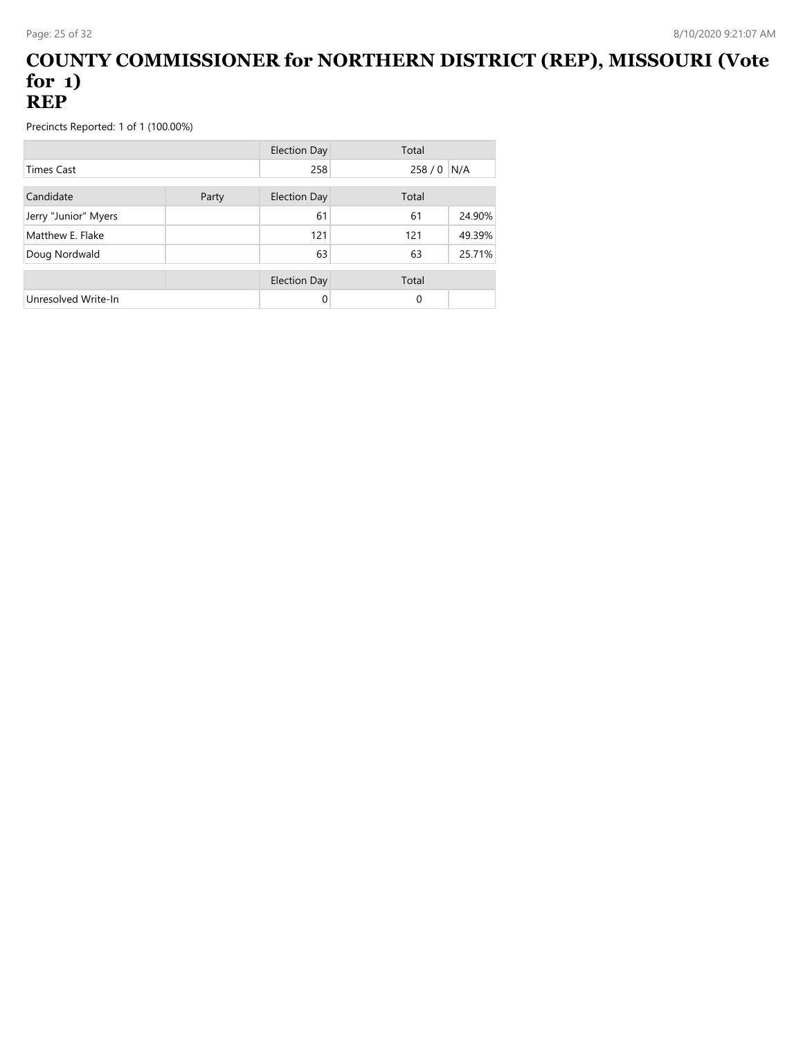#### **COUNTY COMMISSIONER for NORTHERN DISTRICT (REP), MISSOURI (Vote for 1) REP**

|                      |       | <b>Election Day</b> | Total         |  |
|----------------------|-------|---------------------|---------------|--|
| <b>Times Cast</b>    |       | 258                 | 258/0<br>N/A  |  |
| Candidate            | Party | <b>Election Day</b> | Total         |  |
| Jerry "Junior" Myers |       | 61                  | 24.90%<br>61  |  |
| Matthew E. Flake     |       | 121                 | 49.39%<br>121 |  |
| Doug Nordwald        |       | 63                  | 25.71%<br>63  |  |
|                      |       | Election Day        | Total         |  |
| Unresolved Write-In  |       | 0                   | 0             |  |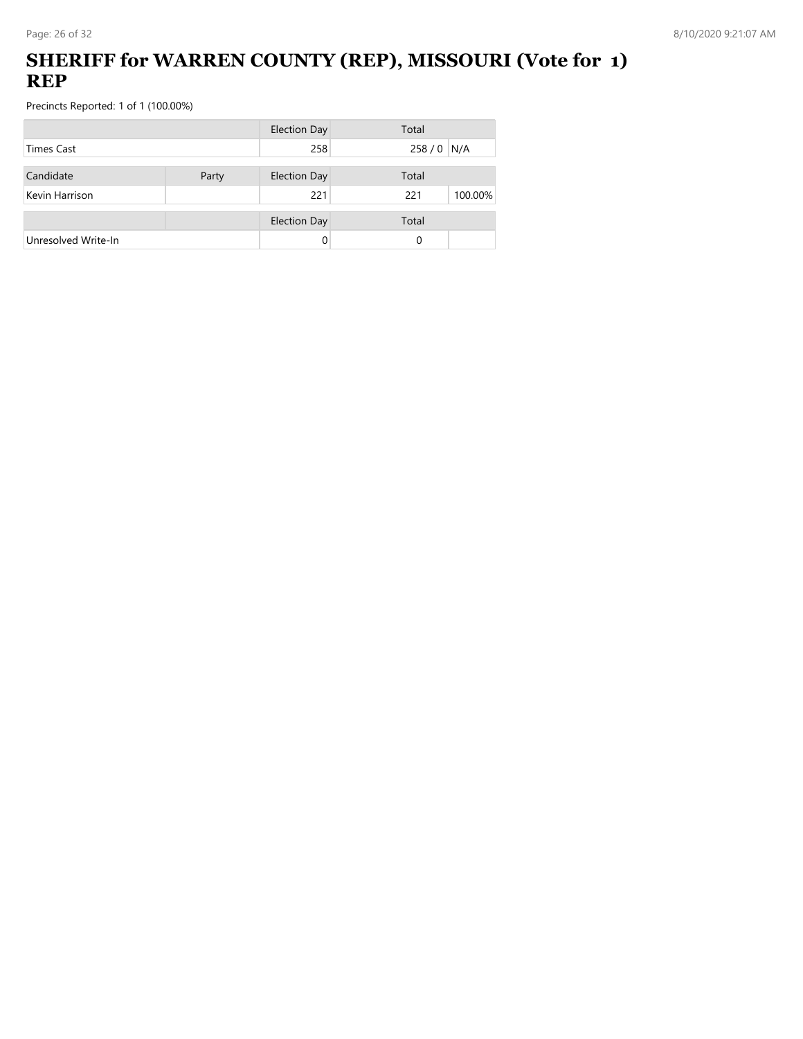## **SHERIFF for WARREN COUNTY (REP), MISSOURI (Vote for 1) REP**

|                     |       | <b>Election Day</b> | Total          |
|---------------------|-------|---------------------|----------------|
| Times Cast          |       | 258                 | 258 / 0 N/A    |
| Candidate           | Party | <b>Election Day</b> | Total          |
| Kevin Harrison      |       | 221                 | 100.00%<br>221 |
|                     |       | <b>Election Day</b> | Total          |
| Unresolved Write-In |       | 0                   | 0              |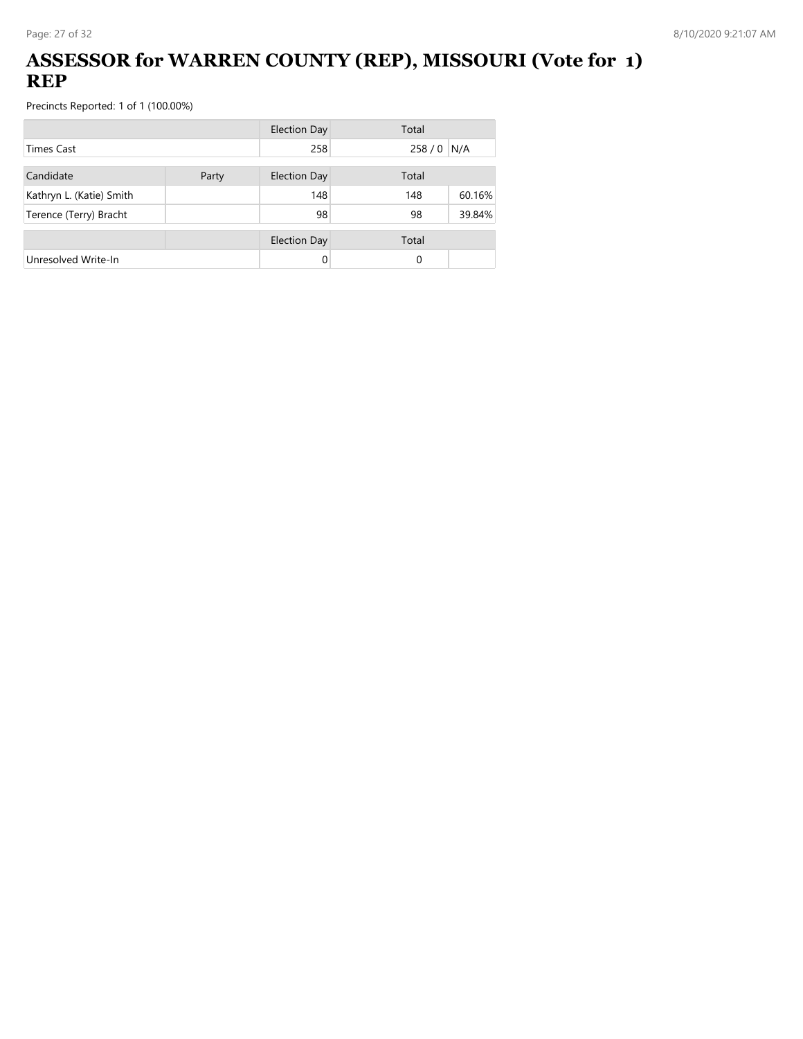## **ASSESSOR for WARREN COUNTY (REP), MISSOURI (Vote for 1) REP**

|                          | <b>Election Day</b> |                     | Total |        |
|--------------------------|---------------------|---------------------|-------|--------|
| <b>Times Cast</b>        |                     | 258                 | 258/0 | N/A    |
| Candidate                | Party               | <b>Election Day</b> | Total |        |
| Kathryn L. (Katie) Smith |                     | 148                 | 148   | 60.16% |
| Terence (Terry) Bracht   |                     | 98                  | 98    | 39.84% |
|                          |                     | <b>Election Day</b> | Total |        |
| Unresolved Write-In      |                     | 0                   | 0     |        |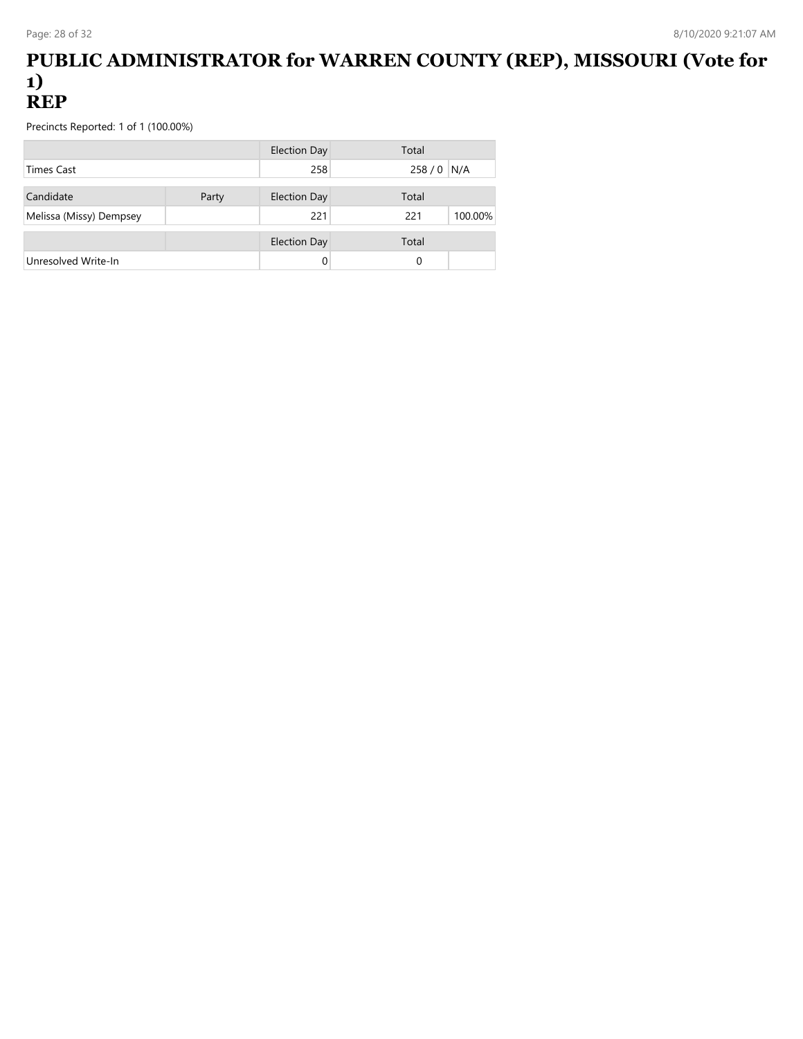#### **PUBLIC ADMINISTRATOR for WARREN COUNTY (REP), MISSOURI (Vote for 1) REP**

|                         |       | Election Day        | Total       |         |
|-------------------------|-------|---------------------|-------------|---------|
| <b>Times Cast</b>       |       | 258                 | 258 / 0 N/A |         |
| Candidate               | Party | <b>Election Day</b> | Total       |         |
| Melissa (Missy) Dempsey |       | 221                 | 221         | 100.00% |
|                         |       | <b>Election Day</b> | Total       |         |
| Unresolved Write-In     |       |                     | 0           |         |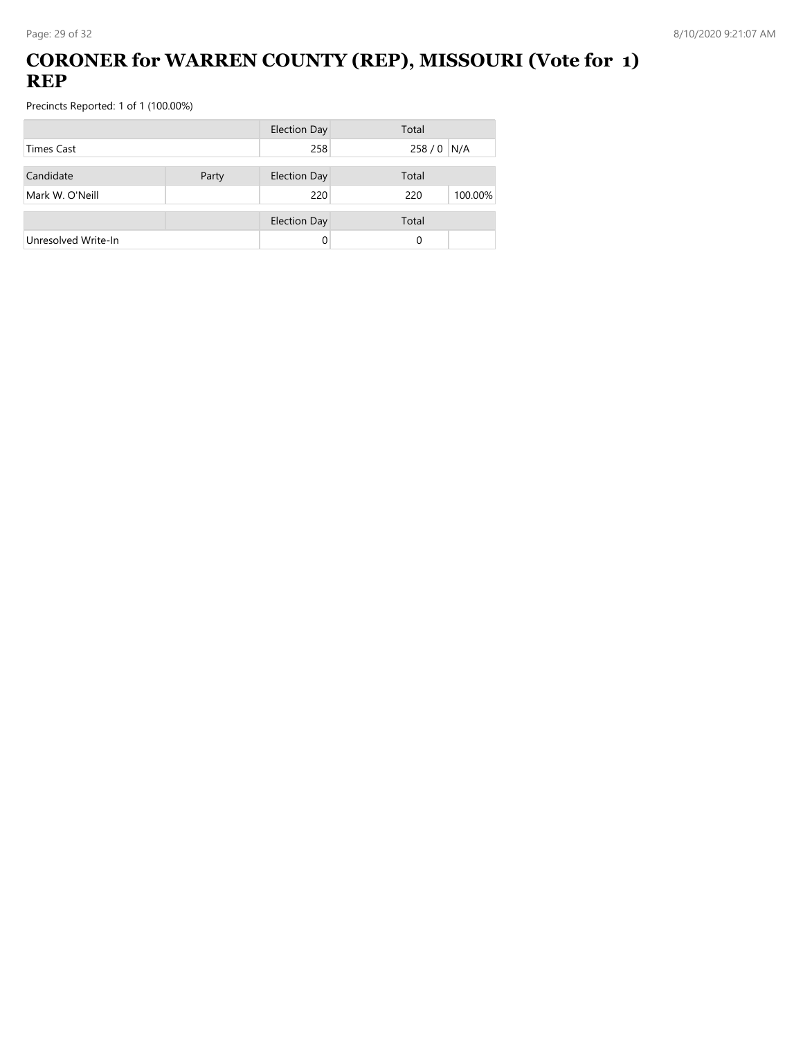## **CORONER for WARREN COUNTY (REP), MISSOURI (Vote for 1) REP**

|                     |       | <b>Election Day</b> | Total          |
|---------------------|-------|---------------------|----------------|
| <b>Times Cast</b>   |       | 258                 | 258 / 0 N/A    |
| Candidate           | Party | <b>Election Day</b> | Total          |
| Mark W. O'Neill     |       | 220                 | 100.00%<br>220 |
|                     |       | <b>Election Day</b> | Total          |
| Unresolved Write-In |       | 0                   | 0              |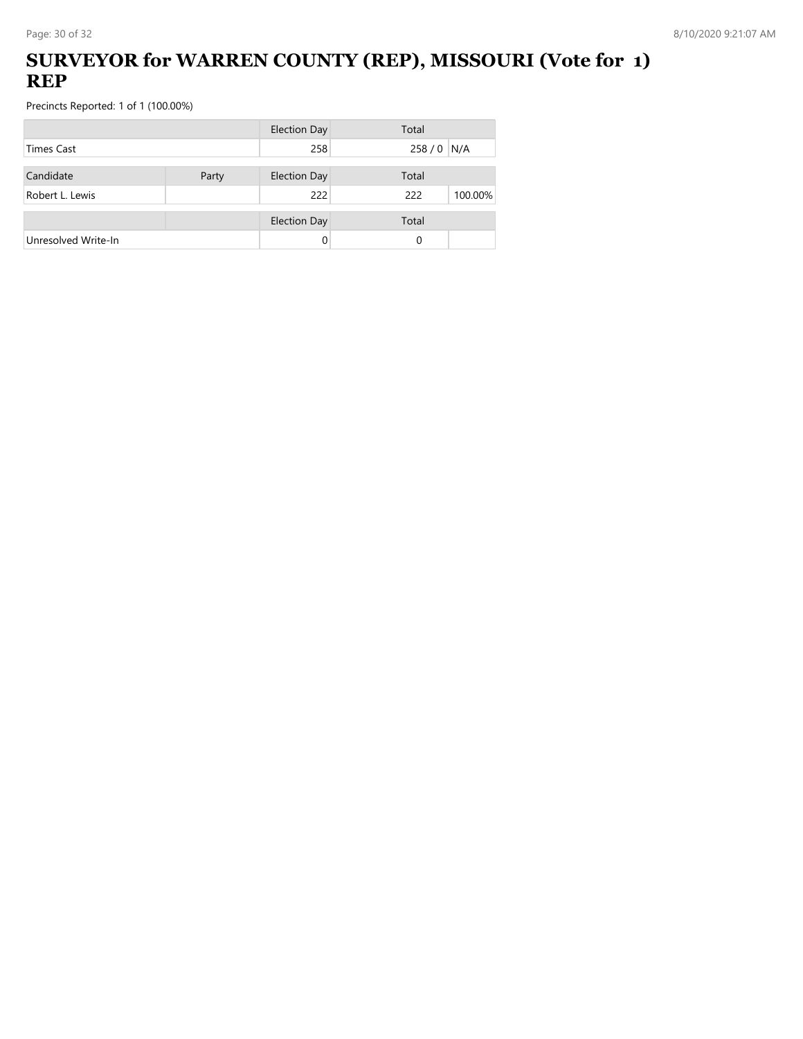### **SURVEYOR for WARREN COUNTY (REP), MISSOURI (Vote for 1) REP**

|                     |       | <b>Election Day</b> | Total          |
|---------------------|-------|---------------------|----------------|
| <b>Times Cast</b>   |       | 258                 | 258 / 0 N/A    |
| Candidate           | Party | <b>Election Day</b> | Total          |
| Robert L. Lewis     |       | 222                 | 222<br>100.00% |
|                     |       | <b>Election Day</b> | Total          |
| Unresolved Write-In |       | 0                   | 0              |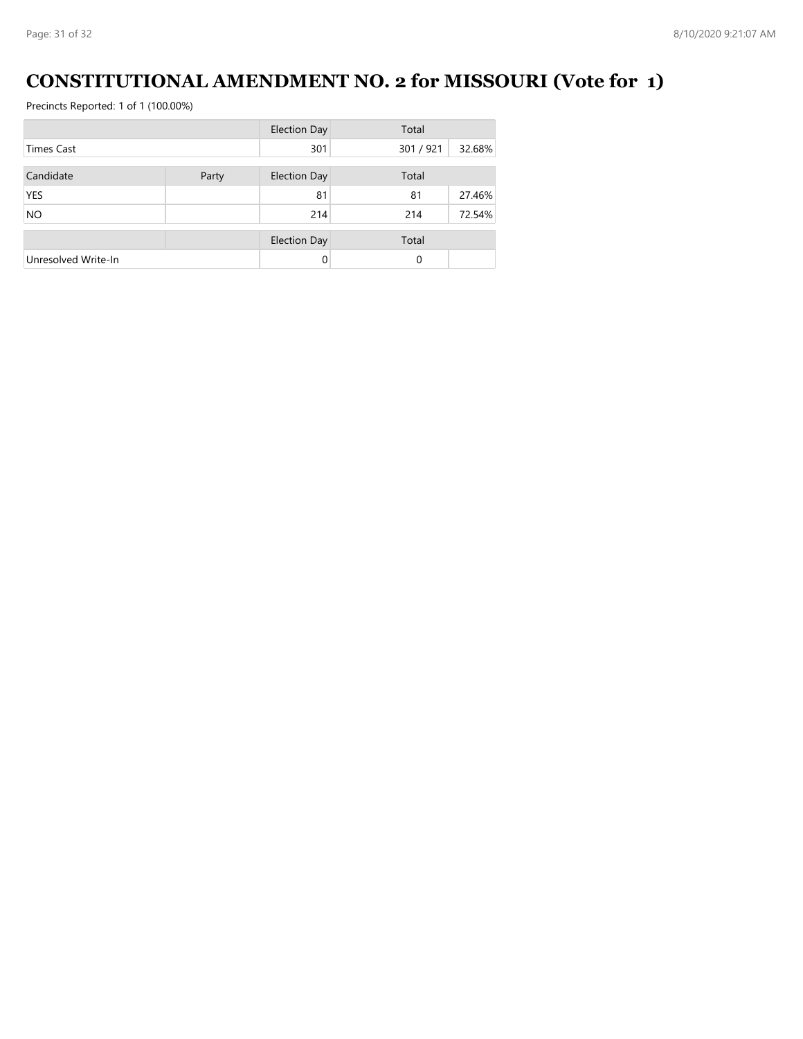# **CONSTITUTIONAL AMENDMENT NO. 2 for MISSOURI (Vote for 1)**

|                     |       | <b>Election Day</b> | Total     |        |
|---------------------|-------|---------------------|-----------|--------|
| <b>Times Cast</b>   |       | 301                 | 301 / 921 | 32.68% |
| Candidate           | Party | <b>Election Day</b> | Total     |        |
| <b>YES</b>          |       | 81                  | 81        | 27.46% |
| <b>NO</b>           |       | 214                 | 214       | 72.54% |
|                     |       | <b>Election Day</b> | Total     |        |
| Unresolved Write-In |       | 0                   | $\Omega$  |        |